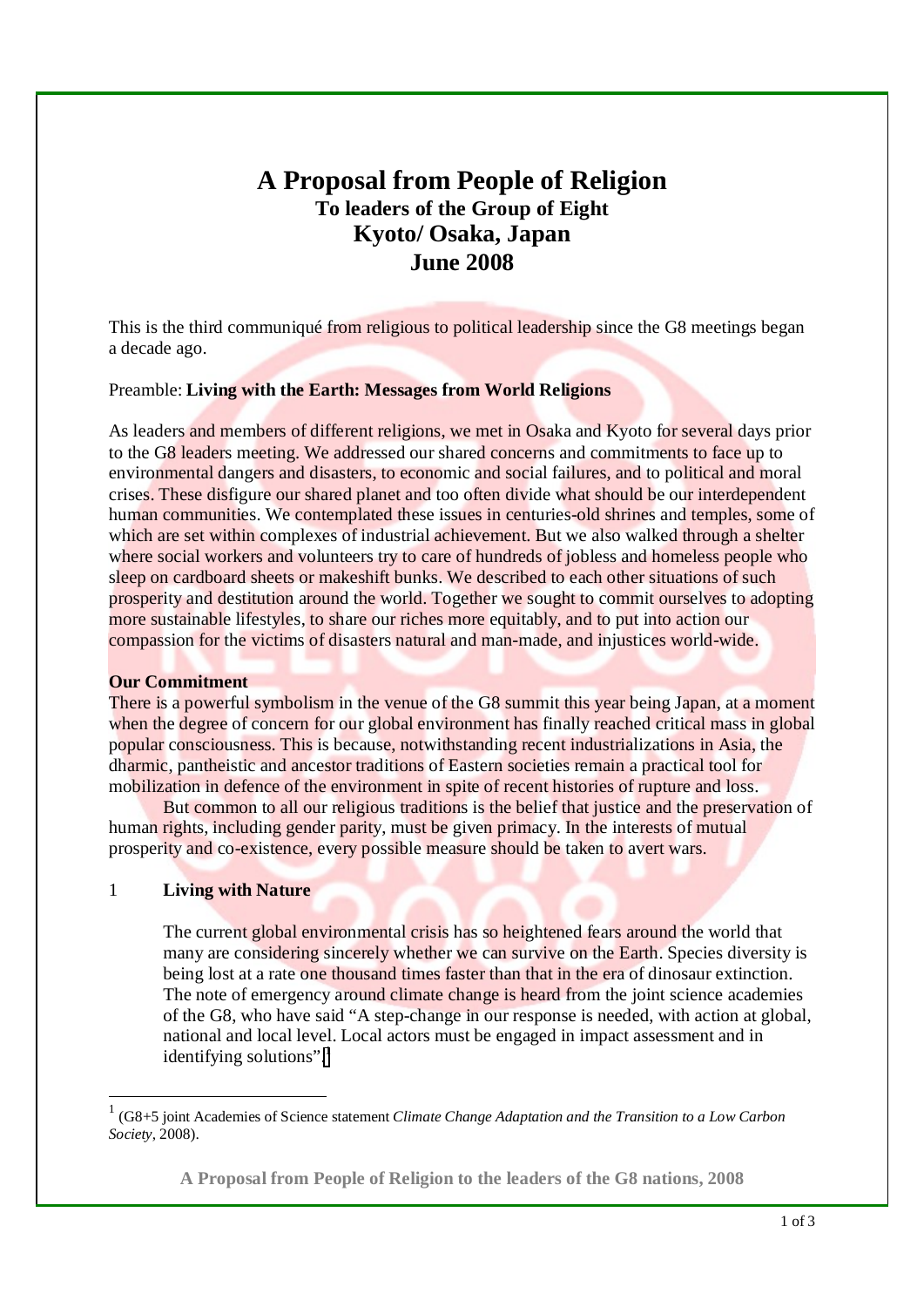# **A Proposal from People of Religion To leaders of the Group of Eight Kyoto/ Osaka, Japan June 2008**

This is the third communiqué from religious to political leadership since the G8 meetings began a decade ago.

# Preamble: **Living with the Earth: Messages from World Religions**

As leaders and members of different religions, we met in Osaka and Kyoto for several days prior to the G8 leaders meeting. We addressed our shared concerns and commitments to face up to environmental dangers and disasters, to economic and social failures, and to political and moral crises. These disfigure our shared planet and too often divide what should be our interdependent human communities. We contemplated these issues in centuries-old shrines and temples, some of which are set within complexes of industrial achievement. But we also walked through a shelter where social workers and volunteers try to care of hundreds of jobless and homeless people who sleep on cardboard sheets or makeshift bunks. We described to each other situations of such prosperity and destitution around the world. Together we sought to commit ourselves to adopting more sustainable lifestyles, to share our riches more equitably, and to put into action our compassion for the victims of disasters natural and man-made, and injustices world-wide.

#### **Our Commitment**

There is a powerful symbolism in the venue of the G8 summit this year being Japan, at a moment when the degree of concern for our global environment has finally reached critical mass in global popular consciousness. This is because, notwithstanding recent industrializations in Asia, the dharmic, pantheistic and ancestor traditions of Eastern societies remain a practical tool for mobilization in defence of the environment in spite of recent histories of rupture and loss.

But common to all our religious traditions is the belief that justice and the preservation of human rights, including gender parity, must be given primacy. In the interests of mutual prosperity and co-existence, every possible measure should be taken to avert wars.

#### 1 **Living with Nature**

 $\overline{a}$ 

The current global environmental crisis has so heightened fears around the world that many are considering sincerely whether we can survive on the Earth. Species diversity is being lost at a rate one thousand times faster than that in the era of dinosaur extinction. The note of emergency around climate change is heard from the joint science academies of the G8, who have said "A step-change in our response is needed, with action at global, national and local level. Local actors must be engaged in impact assessment and in identifying solutions". $\frac{1}{1}$ 

<sup>1</sup> (G8+5 joint Academies of Science statement *Climate Change Adaptation and the Transition to a Low Carbon Society*, 2008).

**A Proposal from People of Religion to the leaders of the G8 nations, 2008**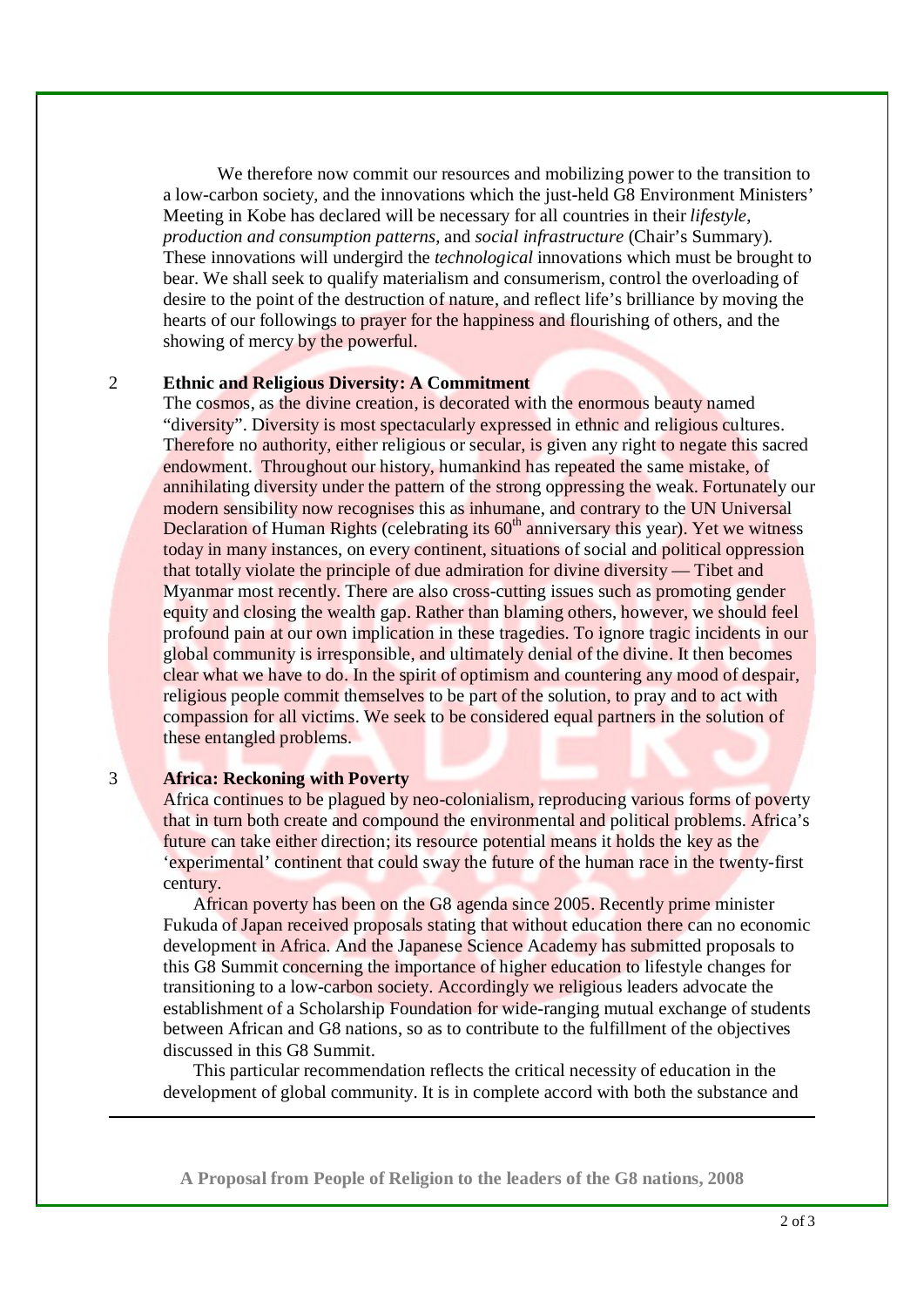We therefore now commit our resources and mobilizing power to the transition to a low-carbon society, and the innovations which the just-held G8 Environment Ministers' Meeting in Kobe has declared will be necessary for all countries in their *lifestyle*, *production and consumption patterns*, and *social infrastructure* (Chair's Summary). These innovations will undergird the *technological* innovations which must be brought to bear. We shall seek to qualify materialism and consumerism, control the overloading of desire to the point of the destruction of nature, and reflect life's brilliance by moving the hearts of our followings to prayer for the happiness and flourishing of others, and the showing of mercy by the powerful.

# 2 **Ethnic and Religious Diversity: A Commitment**

The cosmos, as the divine creation, is decorated with the enormous beauty named "diversity". Diversity is most spectacularly expressed in ethnic and religious cultures. Therefore no authority, either religious or secular, is given any right to negate this sacred endowment. Throughout our history, humankind has repeated the same mistake, of annihilating diversity under the pattern of the strong oppressing the weak. Fortunately our modern sensibility now recognises this as inhumane, and contrary to the UN Universal Declaration of Human Rights (celebrating its  $60<sup>th</sup>$  anniversary this year). Yet we witness today in many instances, on every continent, situations of social and political oppression that totally violate the principle of due admiration for divine diversity — Tibet and Myanmar most recently. There are also cross-cutting issues such as promoting gender equity and closing the wealth gap. Rather than blaming others, however, we should feel profound pain at our own implication in these tragedies. To ignore tragic incidents in our global community is irresponsible, and ultimately denial of the divine. It then becomes clear what we have to do. In the spirit of optimism and countering any mood of despair, religious people commit themselves to be part of the solution, to pray and to act with compassion for all victims. We seek to be considered equal partners in the solution of these entangled problems.

### 3 **Africa: Reckoning with Poverty**

-

Africa continues to be plagued by neo-colonialism, reproducing various forms of poverty that in turn both create and compound the environmental and political problems. Africa's future can take either direction; its resource potential means it holds the key as the 'experimental' continent that could sway the future of the human race in the twenty-first century.

 African poverty has been on the G8 agenda since 2005. Recently prime minister Fukuda of Japan received proposals stating that without education there can no economic development in Africa. And the Japanese Science Academy has submitted proposals to this G8 Summit concerning the importance of higher education to lifestyle changes for transitioning to a low-carbon society. Accordingly we religious leaders advocate the establishment of a Scholarship Foundation for wide-ranging mutual exchange of students between African and G8 nations, so as to contribute to the fulfillment of the objectives discussed in this G8 Summit.

 This particular recommendation reflects the critical necessity of education in the development of global community. It is in complete accord with both the substance and

**A Proposal from People of Religion to the leaders of the G8 nations, 2008**